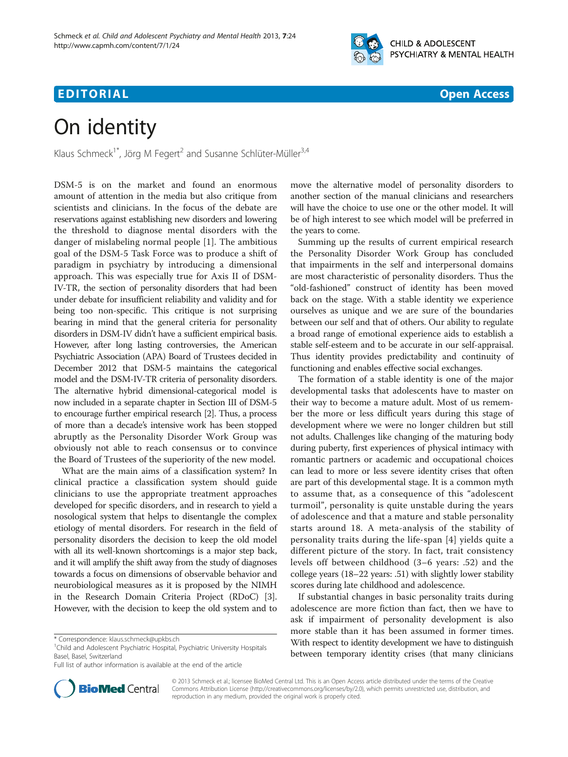

## **EDITORIAL** CONTROL CONTROL CONTROL CONTROL CONTROL CONTROL CONTROL CONTROL CONTROL CONTROL CONTROL CONTROL CONTROL CONTROL CONTROL CONTROL CONTROL CONTROL CONTROL CONTROL CONTROL CONTROL CONTROL CONTROL CONTROL CONTROL CO

# On identity

Klaus Schmeck<sup>1\*</sup>, Jörg M Fegert<sup>2</sup> and Susanne Schlüter-Müller<sup>3,4</sup>

DSM-5 is on the market and found an enormous amount of attention in the media but also critique from scientists and clinicians. In the focus of the debate are reservations against establishing new disorders and lowering the threshold to diagnose mental disorders with the danger of mislabeling normal people [[1](#page-1-0)]. The ambitious goal of the DSM-5 Task Force was to produce a shift of paradigm in psychiatry by introducing a dimensional approach. This was especially true for Axis II of DSM-IV-TR, the section of personality disorders that had been under debate for insufficient reliability and validity and for being too non-specific. This critique is not surprising bearing in mind that the general criteria for personality disorders in DSM-IV didn't have a sufficient empirical basis. However, after long lasting controversies, the American Psychiatric Association (APA) Board of Trustees decided in December 2012 that DSM-5 maintains the categorical model and the DSM-IV-TR criteria of personality disorders. The alternative hybrid dimensional-categorical model is now included in a separate chapter in Section III of DSM-5 to encourage further empirical research [\[2\]](#page-1-0). Thus, a process of more than a decade's intensive work has been stopped abruptly as the Personality Disorder Work Group was obviously not able to reach consensus or to convince the Board of Trustees of the superiority of the new model.

What are the main aims of a classification system? In clinical practice a classification system should guide clinicians to use the appropriate treatment approaches developed for specific disorders, and in research to yield a nosological system that helps to disentangle the complex etiology of mental disorders. For research in the field of personality disorders the decision to keep the old model with all its well-known shortcomings is a major step back, and it will amplify the shift away from the study of diagnoses towards a focus on dimensions of observable behavior and neurobiological measures as it is proposed by the NIMH in the Research Domain Criteria Project (RDoC) [[3](#page-1-0)]. However, with the decision to keep the old system and to



Summing up the results of current empirical research the Personality Disorder Work Group has concluded that impairments in the self and interpersonal domains are most characteristic of personality disorders. Thus the "old-fashioned" construct of identity has been moved back on the stage. With a stable identity we experience ourselves as unique and we are sure of the boundaries between our self and that of others. Our ability to regulate a broad range of emotional experience aids to establish a stable self-esteem and to be accurate in our self-appraisal. Thus identity provides predictability and continuity of functioning and enables effective social exchanges.

The formation of a stable identity is one of the major developmental tasks that adolescents have to master on their way to become a mature adult. Most of us remember the more or less difficult years during this stage of development where we were no longer children but still not adults. Challenges like changing of the maturing body during puberty, first experiences of physical intimacy with romantic partners or academic and occupational choices can lead to more or less severe identity crises that often are part of this developmental stage. It is a common myth to assume that, as a consequence of this "adolescent turmoil", personality is quite unstable during the years of adolescence and that a mature and stable personality starts around 18. A meta-analysis of the stability of personality traits during the life-span [[4\]](#page-1-0) yields quite a different picture of the story. In fact, trait consistency levels off between childhood (3–6 years: .52) and the college years (18–22 years: .51) with slightly lower stability scores during late childhood and adolescence.

If substantial changes in basic personality traits during adolescence are more fiction than fact, then we have to ask if impairment of personality development is also more stable than it has been assumed in former times. With respect to identity development we have to distinguish between temporary identity crises (that many clinicians



© 2013 Schmeck et al.; licensee BioMed Central Ltd. This is an Open Access article distributed under the terms of the Creative Commons Attribution License [\(http://creativecommons.org/licenses/by/2.0\)](http://creativecommons.org/licenses/by/2.0), which permits unrestricted use, distribution, and reproduction in any medium, provided the original work is properly cited.

<sup>\*</sup> Correspondence: [klaus.schmeck@upkbs.ch](mailto:klaus.schmeck@upkbs.ch) <sup>1</sup>

<sup>&</sup>lt;sup>1</sup>Child and Adolescent Psychiatric Hospital, Psychiatric University Hospitals Basel, Basel, Switzerland

Full list of author information is available at the end of the article